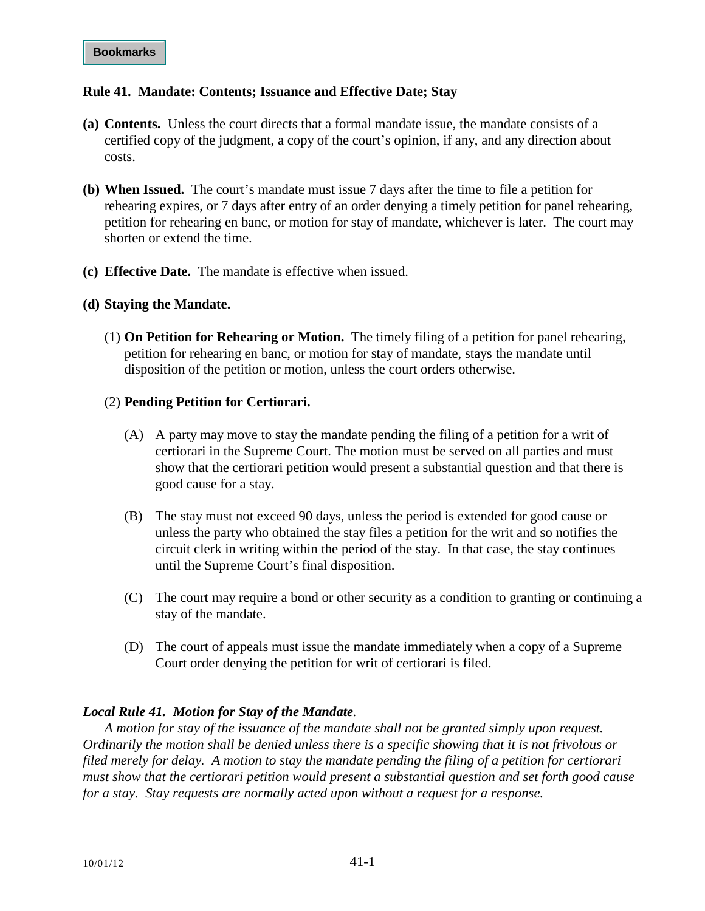## **Rule 41. Mandate: Contents; Issuance and Effective Date; Stay**

- **(a) Contents.** Unless the court directs that a formal mandate issue, the mandate consists of a certified copy of the judgment, a copy of the court's opinion, if any, and any direction about costs.
- **(b) When Issued.** The court's mandate must issue 7 days after the time to file a petition for rehearing expires, or 7 days after entry of an order denying a timely petition for panel rehearing, petition for rehearing en banc, or motion for stay of mandate, whichever is later. The court may shorten or extend the time.
- **(c) Effective Date.** The mandate is effective when issued.

## **(d) Staying the Mandate.**

(1) **On Petition for Rehearing or Motion.** The timely filing of a petition for panel rehearing, petition for rehearing en banc, or motion for stay of mandate, stays the mandate until disposition of the petition or motion, unless the court orders otherwise.

## (2) **Pending Petition for Certiorari.**

- (A) A party may move to stay the mandate pending the filing of a petition for a writ of certiorari in the Supreme Court. The motion must be served on all parties and must show that the certiorari petition would present a substantial question and that there is good cause for a stay.
- (B) The stay must not exceed 90 days, unless the period is extended for good cause or unless the party who obtained the stay files a petition for the writ and so notifies the circuit clerk in writing within the period of the stay. In that case, the stay continues until the Supreme Court's final disposition.
- (C) The court may require a bond or other security as a condition to granting or continuing a stay of the mandate.
- (D) The court of appeals must issue the mandate immediately when a copy of a Supreme Court order denying the petition for writ of certiorari is filed.

## *Local Rule 41. Motion for Stay of the Mandate.*

*A motion for stay of the issuance of the mandate shall not be granted simply upon request. Ordinarily the motion shall be denied unless there is a specific showing that it is not frivolous or filed merely for delay. A motion to stay the mandate pending the filing of a petition for certiorari must show that the certiorari petition would present a substantial question and set forth good cause for a stay. Stay requests are normally acted upon without a request for a response.*